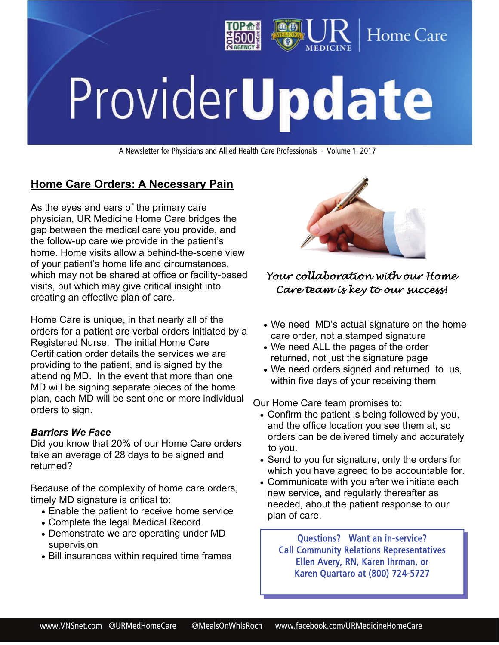

# ProviderUpdate

A Newsletter for Physicians and Allied Health Care Professionals · Volume 1, 2017

# **Home Care Orders: A Necessary Pain**

As the eyes and ears of the primary care physician, UR Medicine Home Care bridges the gap between the medical care you provide, and the follow-up care we provide in the patient's home. Home visits allow a behind-the-scene view of your patient's home life and circumstances, which may not be shared at office or facility-based visits, but which may give critical insight into creating an effective plan of care.

Home Care is unique, in that nearly all of the orders for a patient are verbal orders initiated by a Registered Nurse. The initial Home Care Certification order details the services we are providing to the patient, and is signed by the attending MD. In the event that more than one MD will be signing separate pieces of the home plan, each MD will be sent one or more individual orders to sign.

### *Barriers We Face*

Did you know that 20% of our Home Care orders take an average of 28 days to be signed and returned?

Because of the complexity of home care orders, timely MD signature is critical to:

- Enable the patient to receive home service
- Complete the legal Medical Record
- Demonstrate we are operating under MD supervision
- Bill insurances within required time frames



## *Your collaboration with our Home Care team is key to our success!*

- We need MD's actual signature on the home care order, not a stamped signature
- We need ALL the pages of the order returned, not just the signature page
- We need orders signed and returned to us, within five days of your receiving them

Our Home Care team promises to:

- Confirm the patient is being followed by you, and the office location you see them at, so orders can be delivered timely and accurately to you.
- Send to you for signature, only the orders for which you have agreed to be accountable for.
- Communicate with you after we initiate each new service, and regularly thereafter as needed, about the patient response to our plan of care.

Questions? Want an in-service? Call Community Relations Representatives Ellen Avery, RN, Karen Ihrman, or Karen Quartaro at (800) 724-5727